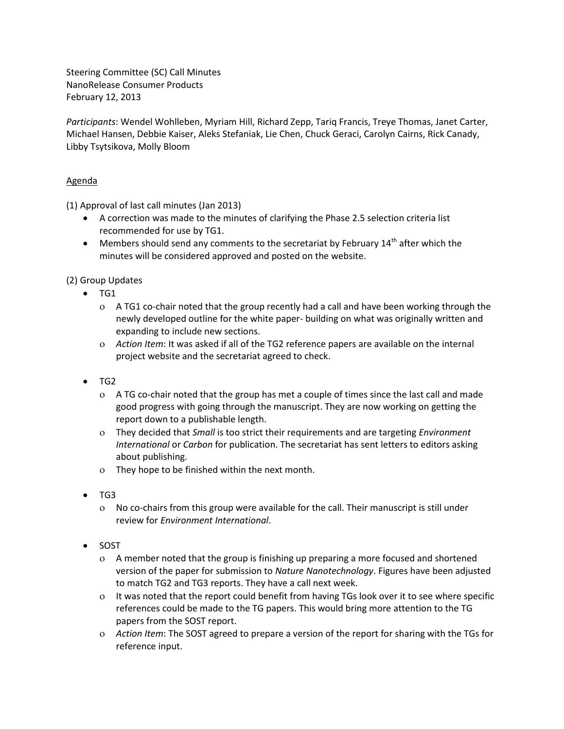Steering Committee (SC) Call Minutes NanoRelease Consumer Products February 12, 2013

*Participants*: Wendel Wohlleben, Myriam Hill, Richard Zepp, Tariq Francis, Treye Thomas, Janet Carter, Michael Hansen, Debbie Kaiser, Aleks Stefaniak, Lie Chen, Chuck Geraci, Carolyn Cairns, Rick Canady, Libby Tsytsikova, Molly Bloom

## Agenda

(1) Approval of last call minutes (Jan 2013)

- A correction was made to the minutes of clarifying the Phase 2.5 selection criteria list recommended for use by TG1.
- $\bullet$  Members should send any comments to the secretariat by February 14<sup>th</sup> after which the minutes will be considered approved and posted on the website.

(2) Group Updates

- $\bullet$  TG1
	- A TG1 co-chair noted that the group recently had a call and have been working through the newly developed outline for the white paper- building on what was originally written and expanding to include new sections.
	- *Action Item*: It was asked if all of the TG2 reference papers are available on the internal project website and the secretariat agreed to check.
- TG2
	- A TG co-chair noted that the group has met a couple of times since the last call and made good progress with going through the manuscript. They are now working on getting the report down to a publishable length.
	- They decided that *Small* is too strict their requirements and are targeting *Environment International* or *Carbon* for publication. The secretariat has sent letters to editors asking about publishing.
	- They hope to be finished within the next month.
- TG3
	- No co-chairs from this group were available for the call. Their manuscript is still under review for *Environment International*.
- SOST
	- A member noted that the group is finishing up preparing a more focused and shortened version of the paper for submission to *Nature Nanotechnology*. Figures have been adjusted to match TG2 and TG3 reports. They have a call next week.
	- It was noted that the report could benefit from having TGs look over it to see where specific references could be made to the TG papers. This would bring more attention to the TG papers from the SOST report.
	- *Action Item*: The SOST agreed to prepare a version of the report for sharing with the TGs for reference input.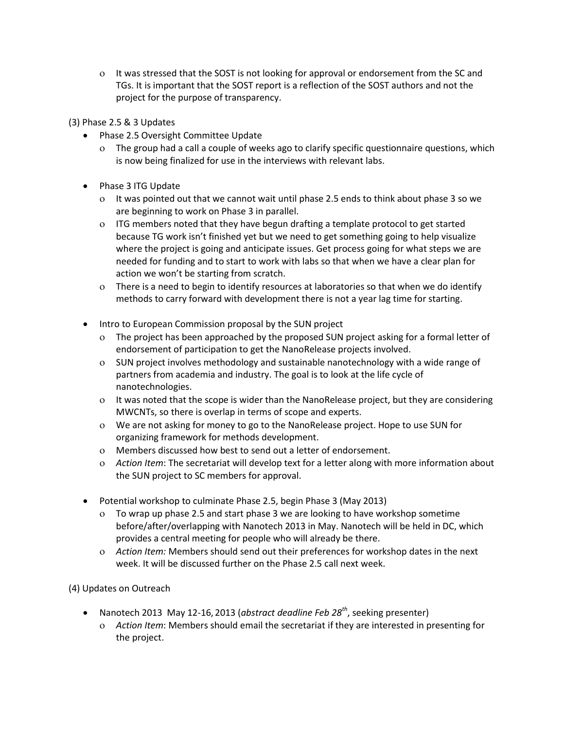- It was stressed that the SOST is not looking for approval or endorsement from the SC and TGs. It is important that the SOST report is a reflection of the SOST authors and not the project for the purpose of transparency.
- (3) Phase 2.5 & 3 Updates
	- Phase 2.5 Oversight Committee Update
		- The group had a call a couple of weeks ago to clarify specific questionnaire questions, which is now being finalized for use in the interviews with relevant labs.
	- Phase 3 ITG Update
		- It was pointed out that we cannot wait until phase 2.5 ends to think about phase 3 so we are beginning to work on Phase 3 in parallel.
		- ITG members noted that they have begun drafting a template protocol to get started because TG work isn't finished yet but we need to get something going to help visualize where the project is going and anticipate issues. Get process going for what steps we are needed for funding and to start to work with labs so that when we have a clear plan for action we won't be starting from scratch.
		- There is a need to begin to identify resources at laboratories so that when we do identify methods to carry forward with development there is not a year lag time for starting.
	- Intro to European Commission proposal by the SUN project
		- The project has been approached by the proposed SUN project asking for a formal letter of endorsement of participation to get the NanoRelease projects involved.
		- SUN project involves methodology and sustainable nanotechnology with a wide range of partners from academia and industry. The goal is to look at the life cycle of nanotechnologies.
		- It was noted that the scope is wider than the NanoRelease project, but they are considering MWCNTs, so there is overlap in terms of scope and experts.
		- We are not asking for money to go to the NanoRelease project. Hope to use SUN for organizing framework for methods development.
		- Members discussed how best to send out a letter of endorsement.
		- *Action Item*: The secretariat will develop text for a letter along with more information about the SUN project to SC members for approval.
	- Potential workshop to culminate Phase 2.5, begin Phase 3 (May 2013)
		- To wrap up phase 2.5 and start phase 3 we are looking to have workshop sometime before/after/overlapping with Nanotech 2013 in May. Nanotech will be held in DC, which provides a central meeting for people who will already be there.
		- *Action Item:* Members should send out their preferences for workshop dates in the next week. It will be discussed further on the Phase 2.5 call next week.

(4) Updates on Outreach

- Nanotech 2013 May 12-16, 2013 (*abstract deadline Feb 28th*, seeking presenter)
	- *Action Item*: Members should email the secretariat if they are interested in presenting for the project.